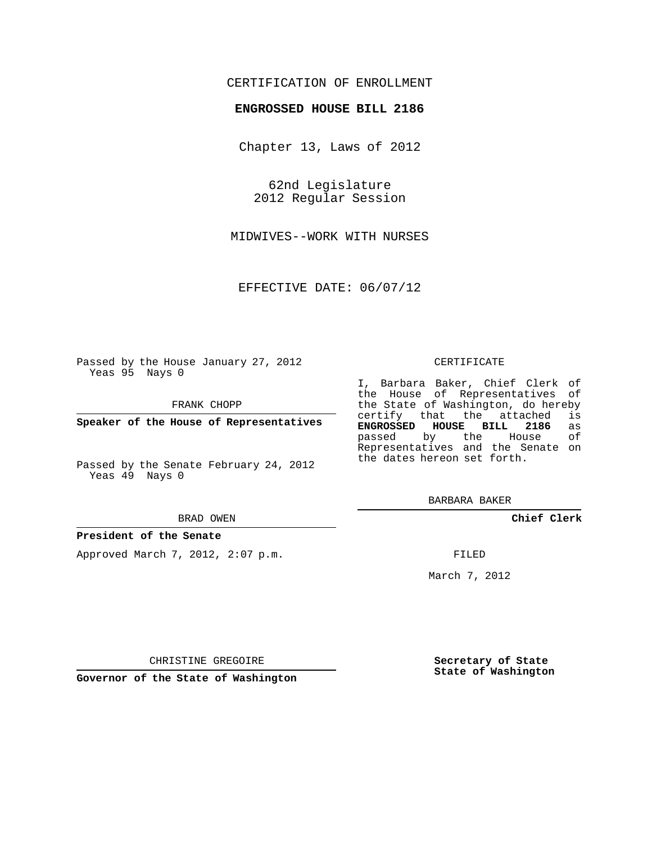## CERTIFICATION OF ENROLLMENT

### **ENGROSSED HOUSE BILL 2186**

Chapter 13, Laws of 2012

62nd Legislature 2012 Regular Session

MIDWIVES--WORK WITH NURSES

EFFECTIVE DATE: 06/07/12

Passed by the House January 27, 2012 Yeas 95 Nays 0

FRANK CHOPP

**Speaker of the House of Representatives**

Passed by the Senate February 24, 2012 Yeas 49 Nays 0

#### BRAD OWEN

#### **President of the Senate**

Approved March 7, 2012, 2:07 p.m.

#### CERTIFICATE

I, Barbara Baker, Chief Clerk of the House of Representatives of the State of Washington, do hereby<br>certify that the attached is certify that the attached is<br>**ENGROSSED HOUSE BILL 2186** as **ENGROSSED HOUSE BILL 2186** as passed by the House Representatives and the Senate on the dates hereon set forth.

BARBARA BAKER

**Chief Clerk**

FILED

March 7, 2012

CHRISTINE GREGOIRE

**Governor of the State of Washington**

**Secretary of State State of Washington**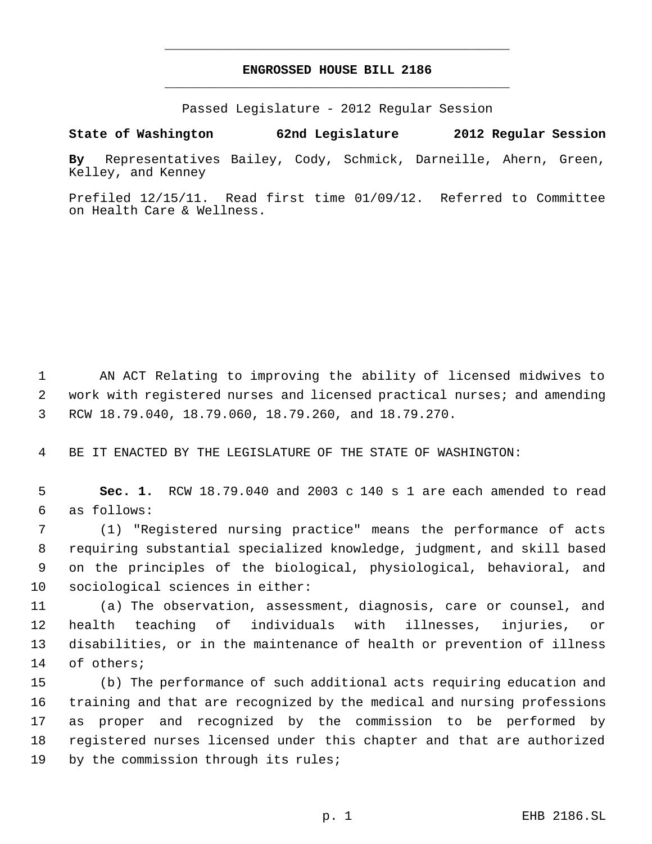# **ENGROSSED HOUSE BILL 2186** \_\_\_\_\_\_\_\_\_\_\_\_\_\_\_\_\_\_\_\_\_\_\_\_\_\_\_\_\_\_\_\_\_\_\_\_\_\_\_\_\_\_\_\_\_

\_\_\_\_\_\_\_\_\_\_\_\_\_\_\_\_\_\_\_\_\_\_\_\_\_\_\_\_\_\_\_\_\_\_\_\_\_\_\_\_\_\_\_\_\_

Passed Legislature - 2012 Regular Session

**State of Washington 62nd Legislature 2012 Regular Session**

**By** Representatives Bailey, Cody, Schmick, Darneille, Ahern, Green, Kelley, and Kenney

Prefiled 12/15/11. Read first time 01/09/12. Referred to Committee on Health Care & Wellness.

 AN ACT Relating to improving the ability of licensed midwives to work with registered nurses and licensed practical nurses; and amending RCW 18.79.040, 18.79.060, 18.79.260, and 18.79.270.

BE IT ENACTED BY THE LEGISLATURE OF THE STATE OF WASHINGTON:

 **Sec. 1.** RCW 18.79.040 and 2003 c 140 s 1 are each amended to read as follows:

 (1) "Registered nursing practice" means the performance of acts requiring substantial specialized knowledge, judgment, and skill based on the principles of the biological, physiological, behavioral, and sociological sciences in either:

 (a) The observation, assessment, diagnosis, care or counsel, and health teaching of individuals with illnesses, injuries, or disabilities, or in the maintenance of health or prevention of illness of others;

 (b) The performance of such additional acts requiring education and training and that are recognized by the medical and nursing professions as proper and recognized by the commission to be performed by registered nurses licensed under this chapter and that are authorized 19 by the commission through its rules;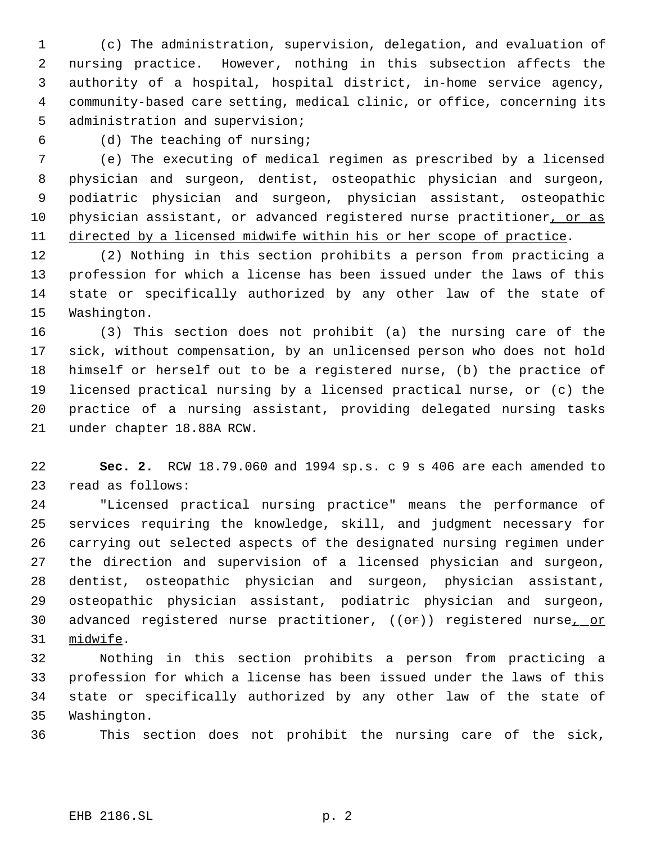(c) The administration, supervision, delegation, and evaluation of nursing practice. However, nothing in this subsection affects the authority of a hospital, hospital district, in-home service agency, community-based care setting, medical clinic, or office, concerning its administration and supervision;

(d) The teaching of nursing;

 (e) The executing of medical regimen as prescribed by a licensed physician and surgeon, dentist, osteopathic physician and surgeon, podiatric physician and surgeon, physician assistant, osteopathic 10 physician assistant, or advanced registered nurse practitioner, or as directed by a licensed midwife within his or her scope of practice.

 (2) Nothing in this section prohibits a person from practicing a profession for which a license has been issued under the laws of this state or specifically authorized by any other law of the state of Washington.

 (3) This section does not prohibit (a) the nursing care of the sick, without compensation, by an unlicensed person who does not hold himself or herself out to be a registered nurse, (b) the practice of licensed practical nursing by a licensed practical nurse, or (c) the practice of a nursing assistant, providing delegated nursing tasks under chapter 18.88A RCW.

 **Sec. 2.** RCW 18.79.060 and 1994 sp.s. c 9 s 406 are each amended to read as follows:

 "Licensed practical nursing practice" means the performance of services requiring the knowledge, skill, and judgment necessary for carrying out selected aspects of the designated nursing regimen under the direction and supervision of a licensed physician and surgeon, dentist, osteopathic physician and surgeon, physician assistant, osteopathic physician assistant, podiatric physician and surgeon, 30 advanced registered nurse practitioner, ((or)) registered nurse<sub>1\_0</sub>r midwife.

 Nothing in this section prohibits a person from practicing a profession for which a license has been issued under the laws of this state or specifically authorized by any other law of the state of Washington.

This section does not prohibit the nursing care of the sick,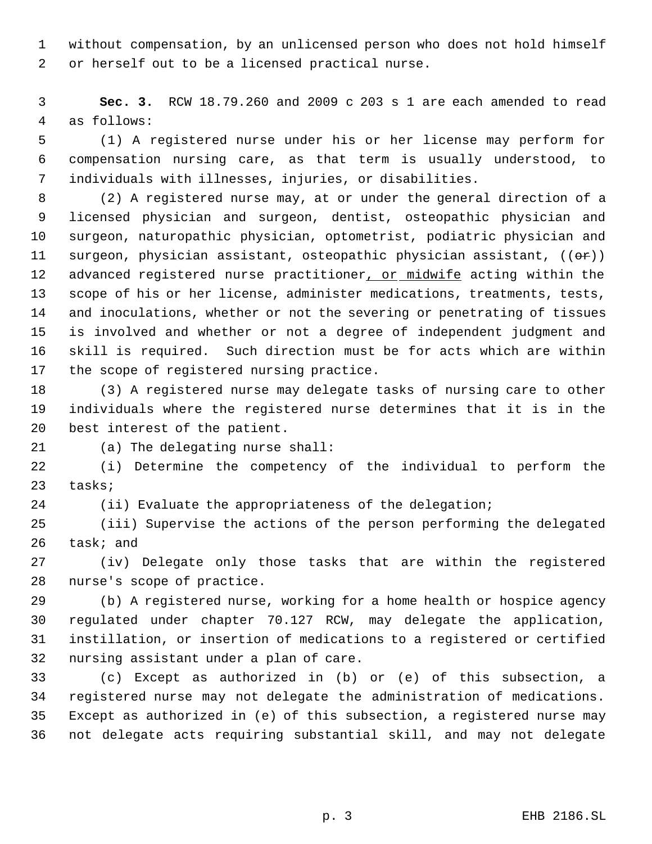without compensation, by an unlicensed person who does not hold himself or herself out to be a licensed practical nurse.

 **Sec. 3.** RCW 18.79.260 and 2009 c 203 s 1 are each amended to read as follows:

 (1) A registered nurse under his or her license may perform for compensation nursing care, as that term is usually understood, to individuals with illnesses, injuries, or disabilities.

 (2) A registered nurse may, at or under the general direction of a licensed physician and surgeon, dentist, osteopathic physician and surgeon, naturopathic physician, optometrist, podiatric physician and 11 surgeon, physician assistant, osteopathic physician assistant,  $((\theta \cdot \mathbf{r}))$ 12 advanced registered nurse practitioner, or midwife acting within the scope of his or her license, administer medications, treatments, tests, and inoculations, whether or not the severing or penetrating of tissues is involved and whether or not a degree of independent judgment and skill is required. Such direction must be for acts which are within 17 the scope of registered nursing practice.

 (3) A registered nurse may delegate tasks of nursing care to other individuals where the registered nurse determines that it is in the best interest of the patient.

(a) The delegating nurse shall:

 (i) Determine the competency of the individual to perform the tasks;

(ii) Evaluate the appropriateness of the delegation;

 (iii) Supervise the actions of the person performing the delegated task; and

 (iv) Delegate only those tasks that are within the registered nurse's scope of practice.

 (b) A registered nurse, working for a home health or hospice agency regulated under chapter 70.127 RCW, may delegate the application, instillation, or insertion of medications to a registered or certified nursing assistant under a plan of care.

 (c) Except as authorized in (b) or (e) of this subsection, a registered nurse may not delegate the administration of medications. Except as authorized in (e) of this subsection, a registered nurse may not delegate acts requiring substantial skill, and may not delegate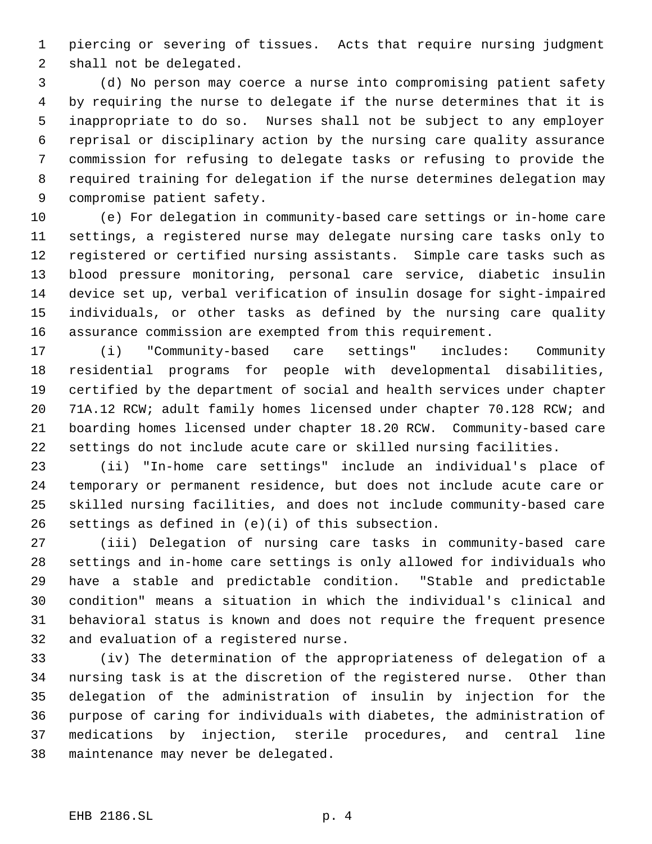piercing or severing of tissues. Acts that require nursing judgment shall not be delegated.

 (d) No person may coerce a nurse into compromising patient safety by requiring the nurse to delegate if the nurse determines that it is inappropriate to do so. Nurses shall not be subject to any employer reprisal or disciplinary action by the nursing care quality assurance commission for refusing to delegate tasks or refusing to provide the required training for delegation if the nurse determines delegation may compromise patient safety.

 (e) For delegation in community-based care settings or in-home care settings, a registered nurse may delegate nursing care tasks only to registered or certified nursing assistants. Simple care tasks such as blood pressure monitoring, personal care service, diabetic insulin device set up, verbal verification of insulin dosage for sight-impaired individuals, or other tasks as defined by the nursing care quality assurance commission are exempted from this requirement.

 (i) "Community-based care settings" includes: Community residential programs for people with developmental disabilities, certified by the department of social and health services under chapter 71A.12 RCW; adult family homes licensed under chapter 70.128 RCW; and boarding homes licensed under chapter 18.20 RCW. Community-based care settings do not include acute care or skilled nursing facilities.

 (ii) "In-home care settings" include an individual's place of temporary or permanent residence, but does not include acute care or skilled nursing facilities, and does not include community-based care settings as defined in (e)(i) of this subsection.

 (iii) Delegation of nursing care tasks in community-based care settings and in-home care settings is only allowed for individuals who have a stable and predictable condition. "Stable and predictable condition" means a situation in which the individual's clinical and behavioral status is known and does not require the frequent presence and evaluation of a registered nurse.

 (iv) The determination of the appropriateness of delegation of a nursing task is at the discretion of the registered nurse. Other than delegation of the administration of insulin by injection for the purpose of caring for individuals with diabetes, the administration of medications by injection, sterile procedures, and central line maintenance may never be delegated.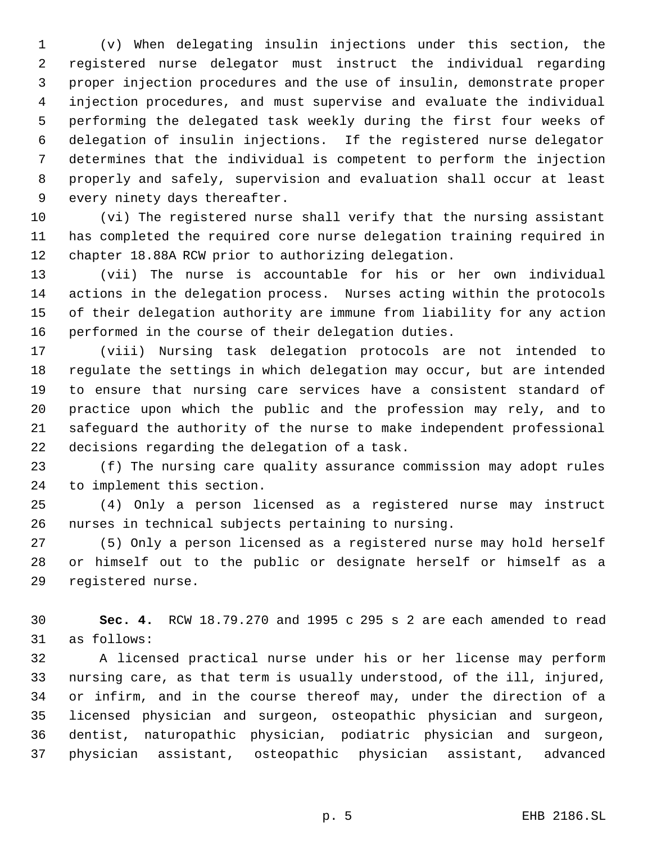(v) When delegating insulin injections under this section, the registered nurse delegator must instruct the individual regarding proper injection procedures and the use of insulin, demonstrate proper injection procedures, and must supervise and evaluate the individual performing the delegated task weekly during the first four weeks of delegation of insulin injections. If the registered nurse delegator determines that the individual is competent to perform the injection properly and safely, supervision and evaluation shall occur at least every ninety days thereafter.

 (vi) The registered nurse shall verify that the nursing assistant has completed the required core nurse delegation training required in chapter 18.88A RCW prior to authorizing delegation.

 (vii) The nurse is accountable for his or her own individual actions in the delegation process. Nurses acting within the protocols of their delegation authority are immune from liability for any action performed in the course of their delegation duties.

 (viii) Nursing task delegation protocols are not intended to regulate the settings in which delegation may occur, but are intended to ensure that nursing care services have a consistent standard of practice upon which the public and the profession may rely, and to safeguard the authority of the nurse to make independent professional decisions regarding the delegation of a task.

 (f) The nursing care quality assurance commission may adopt rules to implement this section.

 (4) Only a person licensed as a registered nurse may instruct nurses in technical subjects pertaining to nursing.

 (5) Only a person licensed as a registered nurse may hold herself or himself out to the public or designate herself or himself as a registered nurse.

 **Sec. 4.** RCW 18.79.270 and 1995 c 295 s 2 are each amended to read as follows:

 A licensed practical nurse under his or her license may perform nursing care, as that term is usually understood, of the ill, injured, or infirm, and in the course thereof may, under the direction of a licensed physician and surgeon, osteopathic physician and surgeon, dentist, naturopathic physician, podiatric physician and surgeon, physician assistant, osteopathic physician assistant, advanced